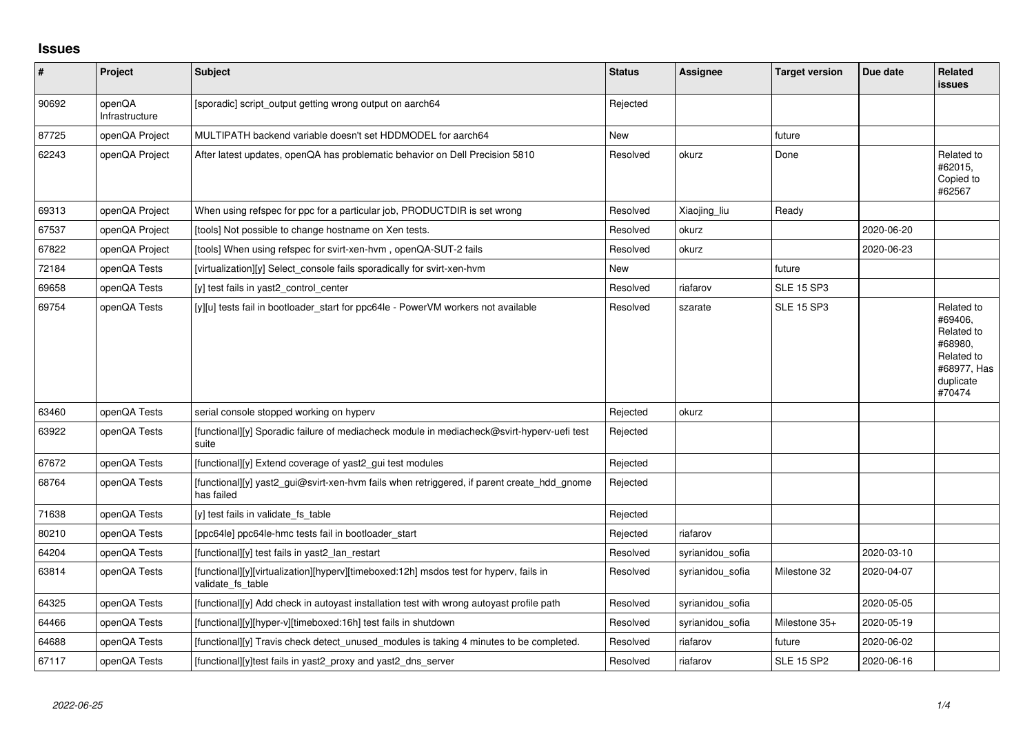## **Issues**

| $\vert$ # | Project                  | Subject                                                                                                     | <b>Status</b> | <b>Assignee</b>  | <b>Target version</b> | Due date   | Related<br><b>issues</b>                                                                           |
|-----------|--------------------------|-------------------------------------------------------------------------------------------------------------|---------------|------------------|-----------------------|------------|----------------------------------------------------------------------------------------------------|
| 90692     | openQA<br>Infrastructure | [sporadic] script_output getting wrong output on aarch64                                                    | Rejected      |                  |                       |            |                                                                                                    |
| 87725     | openQA Project           | MULTIPATH backend variable doesn't set HDDMODEL for aarch64                                                 | New           |                  | future                |            |                                                                                                    |
| 62243     | openQA Project           | After latest updates, openQA has problematic behavior on Dell Precision 5810                                | Resolved      | okurz            | Done                  |            | Related to<br>#62015,<br>Copied to<br>#62567                                                       |
| 69313     | openQA Project           | When using refspec for ppc for a particular job, PRODUCTDIR is set wrong                                    | Resolved      | Xiaojing_liu     | Ready                 |            |                                                                                                    |
| 67537     | openQA Project           | [tools] Not possible to change hostname on Xen tests.                                                       | Resolved      | okurz            |                       | 2020-06-20 |                                                                                                    |
| 67822     | openQA Project           | [tools] When using refspec for svirt-xen-hvm, openQA-SUT-2 fails                                            | Resolved      | okurz            |                       | 2020-06-23 |                                                                                                    |
| 72184     | openQA Tests             | [virtualization][y] Select_console fails sporadically for svirt-xen-hvm                                     | New           |                  | future                |            |                                                                                                    |
| 69658     | openQA Tests             | [y] test fails in yast2_control_center                                                                      | Resolved      | riafarov         | <b>SLE 15 SP3</b>     |            |                                                                                                    |
| 69754     | openQA Tests             | [y][u] tests fail in bootloader_start for ppc64le - PowerVM workers not available                           | Resolved      | szarate          | <b>SLE 15 SP3</b>     |            | Related to<br>#69406,<br>Related to<br>#68980,<br>Related to<br>#68977, Has<br>duplicate<br>#70474 |
| 63460     | openQA Tests             | serial console stopped working on hyperv                                                                    | Rejected      | okurz            |                       |            |                                                                                                    |
| 63922     | openQA Tests             | [functional][y] Sporadic failure of mediacheck module in mediacheck@svirt-hyperv-uefi test<br>suite         | Rejected      |                  |                       |            |                                                                                                    |
| 67672     | openQA Tests             | [functional][y] Extend coverage of yast2_gui test modules                                                   | Rejected      |                  |                       |            |                                                                                                    |
| 68764     | openQA Tests             | [functional][y] yast2_gui@svirt-xen-hvm fails when retriggered, if parent create_hdd_gnome<br>has failed    | Rejected      |                  |                       |            |                                                                                                    |
| 71638     | openQA Tests             | [y] test fails in validate fs table                                                                         | Rejected      |                  |                       |            |                                                                                                    |
| 80210     | openQA Tests             | [ppc64le] ppc64le-hmc tests fail in bootloader start                                                        | Rejected      | riafarov         |                       |            |                                                                                                    |
| 64204     | openQA Tests             | [functional][y] test fails in yast2_lan_restart                                                             | Resolved      | syrianidou sofia |                       | 2020-03-10 |                                                                                                    |
| 63814     | openQA Tests             | [functional][y][virtualization][hyperv][timeboxed:12h] msdos test for hyperv, fails in<br>validate fs table | Resolved      | syrianidou sofia | Milestone 32          | 2020-04-07 |                                                                                                    |
| 64325     | openQA Tests             | [functional][y] Add check in autoyast installation test with wrong autoyast profile path                    | Resolved      | syrianidou sofia |                       | 2020-05-05 |                                                                                                    |
| 64466     | openQA Tests             | [functional][y][hyper-v][timeboxed:16h] test fails in shutdown                                              | Resolved      | syrianidou_sofia | Milestone 35+         | 2020-05-19 |                                                                                                    |
| 64688     | openQA Tests             | [functional][y] Travis check detect_unused_modules is taking 4 minutes to be completed.                     | Resolved      | riafarov         | future                | 2020-06-02 |                                                                                                    |
| 67117     | openQA Tests             | [functional][y]test fails in yast2 proxy and yast2 dns server                                               | Resolved      | riafarov         | <b>SLE 15 SP2</b>     | 2020-06-16 |                                                                                                    |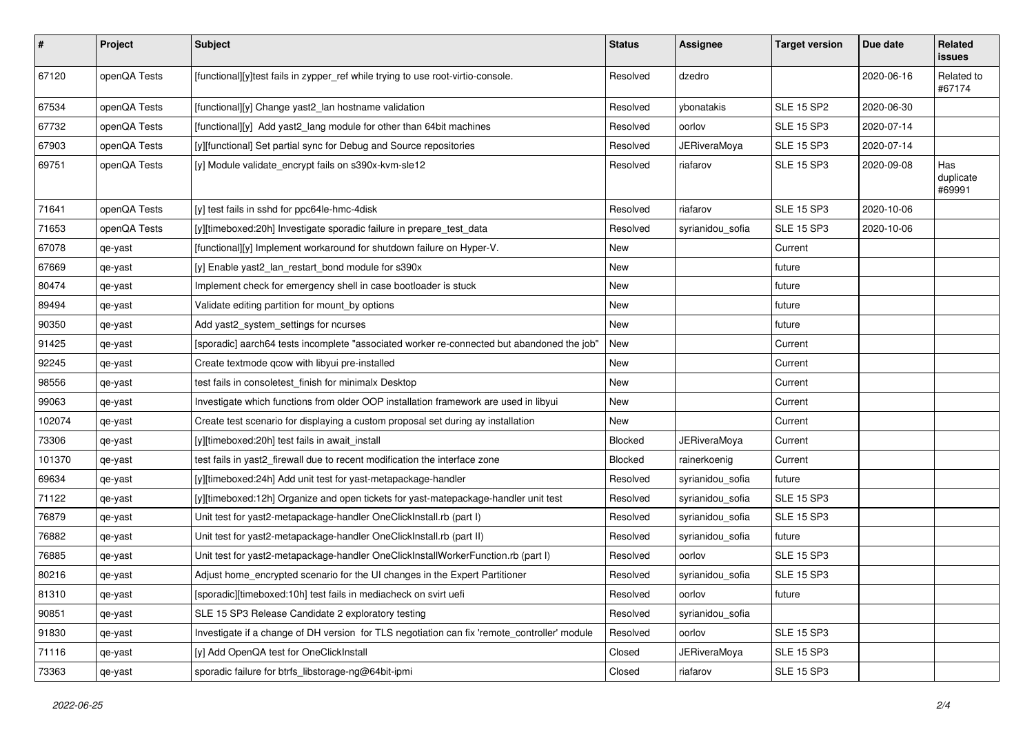| $\vert$ # | Project      | Subject                                                                                      | <b>Status</b> | <b>Assignee</b>     | <b>Target version</b> | Due date   | Related<br><b>issues</b>   |
|-----------|--------------|----------------------------------------------------------------------------------------------|---------------|---------------------|-----------------------|------------|----------------------------|
| 67120     | openQA Tests | [functional][y]test fails in zypper_ref while trying to use root-virtio-console.             | Resolved      | dzedro              |                       | 2020-06-16 | Related to<br>#67174       |
| 67534     | openQA Tests | [functional][y] Change yast2_lan hostname validation                                         | Resolved      | vbonatakis          | <b>SLE 15 SP2</b>     | 2020-06-30 |                            |
| 67732     | openQA Tests | [functional][y] Add yast2_lang module for other than 64bit machines                          | Resolved      | oorlov              | <b>SLE 15 SP3</b>     | 2020-07-14 |                            |
| 67903     | openQA Tests | [y][functional] Set partial sync for Debug and Source repositories                           | Resolved      | JERiveraMoya        | <b>SLE 15 SP3</b>     | 2020-07-14 |                            |
| 69751     | openQA Tests | [y] Module validate_encrypt fails on s390x-kvm-sle12                                         | Resolved      | riafarov            | <b>SLE 15 SP3</b>     | 2020-09-08 | Has<br>duplicate<br>#69991 |
| 71641     | openQA Tests | [y] test fails in sshd for ppc64le-hmc-4disk                                                 | Resolved      | riafarov            | <b>SLE 15 SP3</b>     | 2020-10-06 |                            |
| 71653     | openQA Tests | [y][timeboxed:20h] Investigate sporadic failure in prepare_test_data                         | Resolved      | syrianidou_sofia    | <b>SLE 15 SP3</b>     | 2020-10-06 |                            |
| 67078     | qe-yast      | [functional][y] Implement workaround for shutdown failure on Hyper-V.                        | New           |                     | Current               |            |                            |
| 67669     | qe-yast      | [y] Enable yast2_lan_restart_bond module for s390x                                           | <b>New</b>    |                     | future                |            |                            |
| 80474     | qe-yast      | Implement check for emergency shell in case bootloader is stuck                              | New           |                     | future                |            |                            |
| 89494     | qe-yast      | Validate editing partition for mount_by options                                              | New           |                     | future                |            |                            |
| 90350     | qe-yast      | Add yast2_system_settings for ncurses                                                        | New           |                     | future                |            |                            |
| 91425     | qe-yast      | [sporadic] aarch64 tests incomplete "associated worker re-connected but abandoned the job"   | New           |                     | Current               |            |                            |
| 92245     | qe-yast      | Create textmode qcow with libyui pre-installed                                               | New           |                     | Current               |            |                            |
| 98556     | qe-yast      | test fails in consoletest finish for minimalx Desktop                                        | New           |                     | Current               |            |                            |
| 99063     | qe-yast      | Investigate which functions from older OOP installation framework are used in libyui         | New           |                     | Current               |            |                            |
| 102074    | qe-yast      | Create test scenario for displaying a custom proposal set during ay installation             | New           |                     | Current               |            |                            |
| 73306     | qe-yast      | [y][timeboxed:20h] test fails in await_install                                               | Blocked       | JERiveraMoya        | Current               |            |                            |
| 101370    | qe-yast      | test fails in yast2_firewall due to recent modification the interface zone                   | Blocked       | rainerkoenig        | Current               |            |                            |
| 69634     | qe-yast      | [y][timeboxed:24h] Add unit test for yast-metapackage-handler                                | Resolved      | syrianidou_sofia    | future                |            |                            |
| 71122     | qe-yast      | [y][timeboxed:12h] Organize and open tickets for yast-matepackage-handler unit test          | Resolved      | syrianidou_sofia    | <b>SLE 15 SP3</b>     |            |                            |
| 76879     | qe-yast      | Unit test for yast2-metapackage-handler OneClickInstall.rb (part I)                          | Resolved      | syrianidou_sofia    | <b>SLE 15 SP3</b>     |            |                            |
| 76882     | qe-yast      | Unit test for yast2-metapackage-handler OneClickInstall.rb (part II)                         | Resolved      | syrianidou_sofia    | future                |            |                            |
| 76885     | qe-yast      | Unit test for yast2-metapackage-handler OneClickInstallWorkerFunction.rb (part I)            | Resolved      | oorlov              | <b>SLE 15 SP3</b>     |            |                            |
| 80216     | qe-yast      | Adjust home_encrypted scenario for the UI changes in the Expert Partitioner                  | Resolved      | syrianidou_sofia    | <b>SLE 15 SP3</b>     |            |                            |
| 81310     | qe-yast      | [sporadic][timeboxed:10h] test fails in mediacheck on svirt uefi                             | Resolved      | oorlov              | future                |            |                            |
| 90851     | qe-yast      | SLE 15 SP3 Release Candidate 2 exploratory testing                                           | Resolved      | syrianidou_sofia    |                       |            |                            |
| 91830     | qe-yast      | Investigate if a change of DH version for TLS negotiation can fix 'remote_controller' module | Resolved      | oorlov              | <b>SLE 15 SP3</b>     |            |                            |
| 71116     | qe-yast      | [y] Add OpenQA test for OneClickInstall                                                      | Closed        | <b>JERiveraMoya</b> | <b>SLE 15 SP3</b>     |            |                            |
| 73363     | qe-yast      | sporadic failure for btrfs libstorage-ng@64bit-ipmi                                          | Closed        | riafarov            | <b>SLE 15 SP3</b>     |            |                            |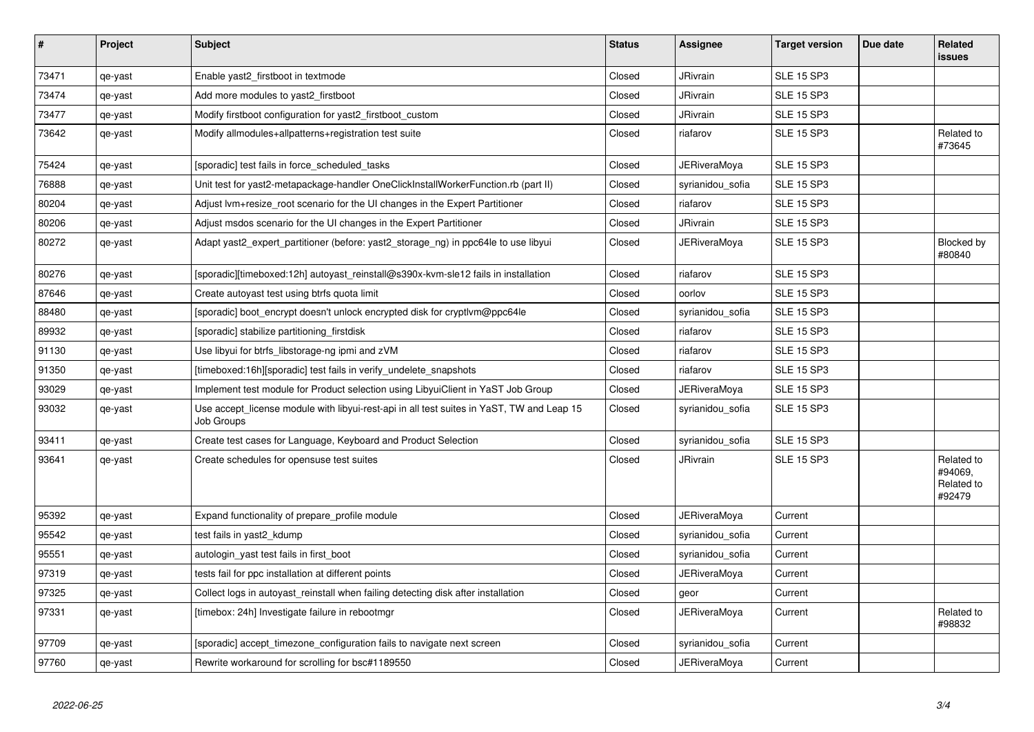| $\sharp$ | Project | <b>Subject</b>                                                                                          | <b>Status</b> | Assignee            | <b>Target version</b> | Due date | Related<br><b>issues</b>                      |
|----------|---------|---------------------------------------------------------------------------------------------------------|---------------|---------------------|-----------------------|----------|-----------------------------------------------|
| 73471    | qe-yast | Enable yast2 firstboot in textmode                                                                      | Closed        | <b>JRivrain</b>     | <b>SLE 15 SP3</b>     |          |                                               |
| 73474    | qe-yast | Add more modules to yast2 firstboot                                                                     | Closed        | JRivrain            | <b>SLE 15 SP3</b>     |          |                                               |
| 73477    | qe-yast | Modify firstboot configuration for yast2 firstboot custom                                               | Closed        | <b>JRivrain</b>     | <b>SLE 15 SP3</b>     |          |                                               |
| 73642    | qe-yast | Modify allmodules+allpatterns+registration test suite                                                   | Closed        | riafarov            | <b>SLE 15 SP3</b>     |          | Related to<br>#73645                          |
| 75424    | qe-yast | [sporadic] test fails in force scheduled tasks                                                          | Closed        | <b>JERiveraMoya</b> | <b>SLE 15 SP3</b>     |          |                                               |
| 76888    | qe-yast | Unit test for yast2-metapackage-handler OneClickInstallWorkerFunction.rb (part II)                      | Closed        | syrianidou_sofia    | <b>SLE 15 SP3</b>     |          |                                               |
| 80204    | qe-yast | Adjust lym+resize root scenario for the UI changes in the Expert Partitioner                            | Closed        | riafarov            | <b>SLE 15 SP3</b>     |          |                                               |
| 80206    | qe-yast | Adjust msdos scenario for the UI changes in the Expert Partitioner                                      | Closed        | <b>JRivrain</b>     | <b>SLE 15 SP3</b>     |          |                                               |
| 80272    | qe-yast | Adapt yast2 expert partitioner (before: yast2 storage ng) in ppc64le to use libyui                      | Closed        | JERiveraMova        | <b>SLE 15 SP3</b>     |          | Blocked by<br>#80840                          |
| 80276    | qe-yast | [sporadic][timeboxed:12h] autoyast reinstall@s390x-kvm-sle12 fails in installation                      | Closed        | riafarov            | <b>SLE 15 SP3</b>     |          |                                               |
| 87646    | qe-yast | Create autoyast test using btrfs quota limit                                                            | Closed        | oorlov              | <b>SLE 15 SP3</b>     |          |                                               |
| 88480    | qe-yast | [sporadic] boot_encrypt doesn't unlock encrypted disk for cryptlvm@ppc64le                              | Closed        | syrianidou_sofia    | <b>SLE 15 SP3</b>     |          |                                               |
| 89932    | qe-yast | [sporadic] stabilize partitioning firstdisk                                                             | Closed        | riafarov            | <b>SLE 15 SP3</b>     |          |                                               |
| 91130    | qe-yast | Use libyui for btrfs_libstorage-ng ipmi and zVM                                                         | Closed        | riafarov            | <b>SLE 15 SP3</b>     |          |                                               |
| 91350    | qe-yast | [timeboxed:16h][sporadic] test fails in verify undelete snapshots                                       | Closed        | riafarov            | <b>SLE 15 SP3</b>     |          |                                               |
| 93029    | qe-yast | Implement test module for Product selection using LibyuiClient in YaST Job Group                        | Closed        | <b>JERiveraMoya</b> | <b>SLE 15 SP3</b>     |          |                                               |
| 93032    | qe-yast | Use accept license module with libyui-rest-api in all test suites in YaST, TW and Leap 15<br>Job Groups | Closed        | syrianidou sofia    | <b>SLE 15 SP3</b>     |          |                                               |
| 93411    | qe-yast | Create test cases for Language, Keyboard and Product Selection                                          | Closed        | syrianidou sofia    | <b>SLE 15 SP3</b>     |          |                                               |
| 93641    | qe-yast | Create schedules for opensuse test suites                                                               | Closed        | <b>JRivrain</b>     | <b>SLE 15 SP3</b>     |          | Related to<br>#94069,<br>Related to<br>#92479 |
| 95392    | qe-yast | Expand functionality of prepare profile module                                                          | Closed        | <b>JERiveraMoya</b> | Current               |          |                                               |
| 95542    | qe-yast | test fails in yast2_kdump                                                                               | Closed        | syrianidou_sofia    | Current               |          |                                               |
| 95551    | qe-yast | autologin yast test fails in first boot                                                                 | Closed        | syrianidou sofia    | Current               |          |                                               |
| 97319    | qe-yast | tests fail for ppc installation at different points                                                     | Closed        | <b>JERiveraMoya</b> | Current               |          |                                               |
| 97325    | qe-yast | Collect logs in autoyast reinstall when failing detecting disk after installation                       | Closed        | geor                | Current               |          |                                               |
| 97331    | qe-yast | [timebox: 24h] Investigate failure in rebootmgr                                                         | Closed        | JERiveraMoya        | Current               |          | Related to<br>#98832                          |
| 97709    | qe-yast | [sporadic] accept timezone configuration fails to navigate next screen                                  | Closed        | syrianidou sofia    | Current               |          |                                               |
| 97760    | qe-yast | Rewrite workaround for scrolling for bsc#1189550                                                        | Closed        | <b>JERiveraMoya</b> | Current               |          |                                               |